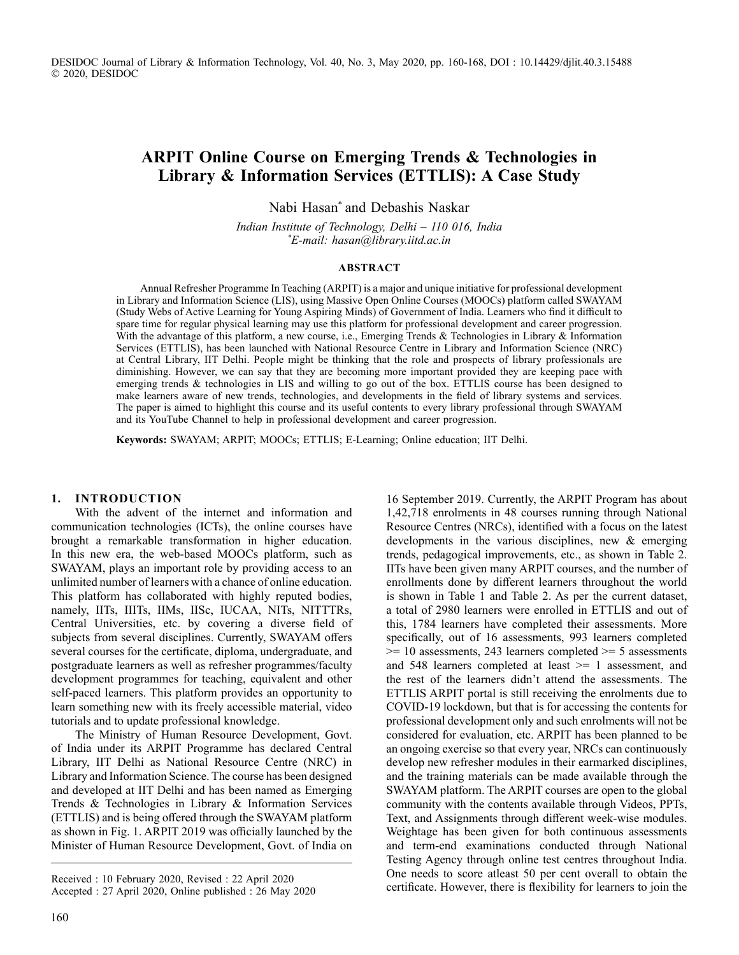# **ARPIT Online Course on Emerging Trends & Technologies in Library & Information Services (ETTLIS): A Case Study**

Nabi Hasan\* and Debashis Naskar

*Indian Institute of Technology, Delhi – 110 016, India \* E-mail: hasan@library.iitd.ac.in*

#### **ABSTRACT**

Annual Refresher Programme In Teaching (ARPIT) is a major and unique initiative for professional development in Library and Information Science (LIS), using Massive Open Online Courses (MOOCs) platform called SWAYAM (Study Webs of Active Learning for Young Aspiring Minds) of Government of India. Learners who find it difficult to spare time for regular physical learning may use this platform for professional development and career progression. With the advantage of this platform, a new course, i.e., Emerging Trends & Technologies in Library & Information Services (ETTLIS), has been launched with National Resource Centre in Library and Information Science (NRC) at Central Library, IIT Delhi. People might be thinking that the role and prospects of library professionals are diminishing. However, we can say that they are becoming more important provided they are keeping pace with emerging trends & technologies in LIS and willing to go out of the box. ETTLIS course has been designed to make learners aware of new trends, technologies, and developments in the field of library systems and services. The paper is aimed to highlight this course and its useful contents to every library professional through SWAYAM and its YouTube Channel to help in professional development and career progression.

**Keywords:** SWAYAM; ARPIT; MOOCs; ETTLIS; E-Learning; Online education; IIT Delhi.

#### **1. INTRODUCTION**

With the advent of the internet and information and communication technologies (ICTs), the online courses have brought a remarkable transformation in higher education. In this new era, the web-based MOOCs platform, such as SWAYAM, plays an important role by providing access to an unlimited number of learners with a chance of online education. This platform has collaborated with highly reputed bodies, namely, IITs, IIITs, IIMs, IISc, IUCAA, NITs, NITTTRs, Central Universities, etc. by covering a diverse field of subjects from several disciplines. Currently, SWAYAM offers several courses for the certificate, diploma, undergraduate, and postgraduate learners as well as refresher programmes/faculty development programmes for teaching, equivalent and other self-paced learners. This platform provides an opportunity to learn something new with its freely accessible material, video tutorials and to update professional knowledge.

The Ministry of Human Resource Development, Govt. of India under its ARPIT Programme has declared Central Library, IIT Delhi as National Resource Centre (NRC) in Library and Information Science. The course has been designed and developed at IIT Delhi and has been named as Emerging Trends & Technologies in Library & Information Services (ETTLIS) and is being offered through the SWAYAM platform as shown in Fig. 1. ARPIT 2019 was officially launched by the Minister of Human Resource Development, Govt. of India on

16 September 2019. Currently, the ARPIT Program has about 1,42,718 enrolments in 48 courses running through National Resource Centres (NRCs), identified with a focus on the latest developments in the various disciplines, new & emerging trends, pedagogical improvements, etc., as shown in Table 2. IITs have been given many ARPIT courses, and the number of enrollments done by different learners throughout the world is shown in Table 1 and Table 2. As per the current dataset, a total of 2980 learners were enrolled in ETTLIS and out of this, 1784 learners have completed their assessments. More specifically, out of 16 assessments, 993 learners completed  $>= 10$  assessments, 243 learners completed  $>= 5$  assessments and 548 learners completed at least >= 1 assessment, and the rest of the learners didn't attend the assessments. The ETTLIS ARPIT portal is still receiving the enrolments due to COVID-19 lockdown, but that is for accessing the contents for professional development only and such enrolments will not be considered for evaluation, etc. ARPIT has been planned to be an ongoing exercise so that every year, NRCs can continuously develop new refresher modules in their earmarked disciplines, and the training materials can be made available through the SWAYAM platform. The ARPIT courses are open to the global community with the contents available through Videos, PPTs, Text, and Assignments through different week-wise modules. Weightage has been given for both continuous assessments and term-end examinations conducted through National Testing Agency through online test centres throughout India. One needs to score atleast 50 per cent overall to obtain the certificate. However, there is flexibility for learners to join the

Received : 10 February 2020, Revised : 22 April 2020 Accepted : 27 April 2020, Online published : 26 May 2020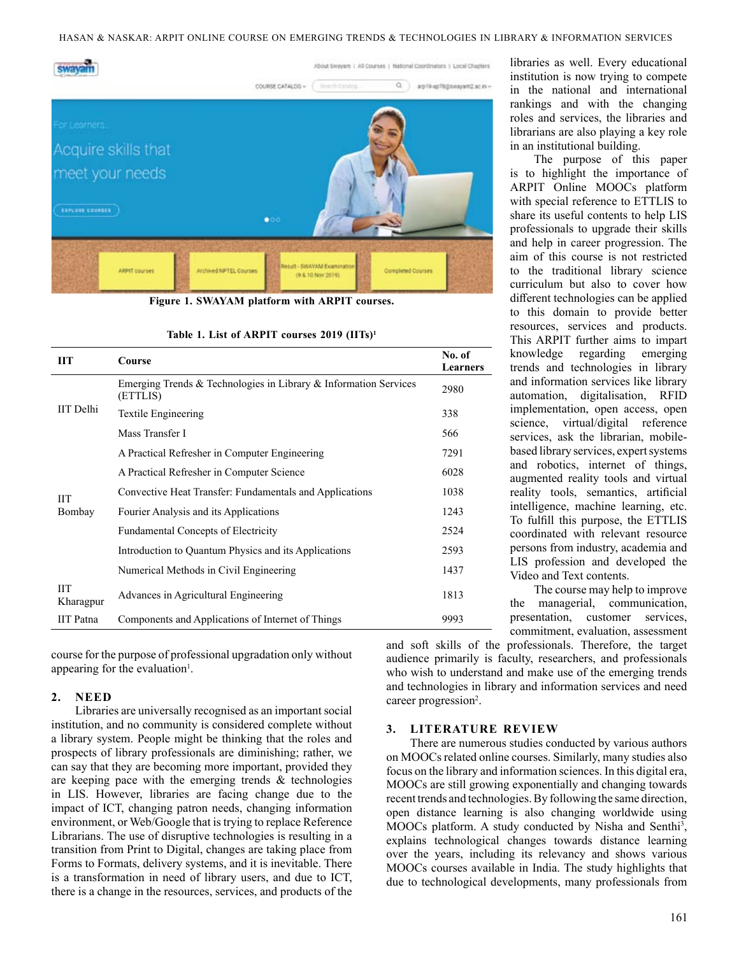

**Figure 1. SWAYAM platform with ARPIT courses.**

| Table 1. List of ARPIT courses 2019 (IITs) <sup>1</sup> |  |  |  |  |  |  |
|---------------------------------------------------------|--|--|--|--|--|--|
|---------------------------------------------------------|--|--|--|--|--|--|

| ПT                      | Course                                                                       | No. of<br>Learners |
|-------------------------|------------------------------------------------------------------------------|--------------------|
| <b>IIT</b> Delhi        | Emerging Trends & Technologies in Library & Information Services<br>(ETTLIS) | 2980               |
|                         | Textile Engineering                                                          | 338                |
|                         | Mass Transfer I                                                              | 566                |
| <b>IIT</b><br>Bombay    | A Practical Refresher in Computer Engineering                                | 7291               |
|                         | A Practical Refresher in Computer Science                                    | 6028               |
|                         | Convective Heat Transfer: Fundamentals and Applications                      | 1038               |
|                         | Fourier Analysis and its Applications                                        | 1243               |
|                         | <b>Fundamental Concepts of Electricity</b>                                   | 2524               |
|                         | Introduction to Quantum Physics and its Applications                         | 2593               |
|                         | Numerical Methods in Civil Engineering                                       | 1437               |
| <b>IIT</b><br>Kharagpur | Advances in Agricultural Engineering                                         | 1813               |
| <b>IIT</b> Patna        | Components and Applications of Internet of Things                            | 9993               |

course for the purpose of professional upgradation only without appearing for the evaluation<sup>1</sup>.

#### **2. NEED**

Libraries are universally recognised as an important social institution, and no community is considered complete without a library system. People might be thinking that the roles and prospects of library professionals are diminishing; rather, we can say that they are becoming more important, provided they are keeping pace with the emerging trends & technologies in LIS. However, libraries are facing change due to the impact of ICT, changing patron needs, changing information environment, or Web/Google that is trying to replace Reference Librarians. The use of disruptive technologies is resulting in a transition from Print to Digital, changes are taking place from Forms to Formats, delivery systems, and it is inevitable. There is a transformation in need of library users, and due to ICT, there is a change in the resources, services, and products of the

libraries as well. Every educational institution is now trying to compete in the national and international rankings and with the changing roles and services, the libraries and librarians are also playing a key role in an institutional building.

The purpose of this paper is to highlight the importance of ARPIT Online MOOCs platform with special reference to ETTLIS to share its useful contents to help LIS professionals to upgrade their skills and help in career progression. The aim of this course is not restricted to the traditional library science curriculum but also to cover how different technologies can be applied to this domain to provide better resources, services and products. This ARPIT further aims to impart knowledge regarding emerging trends and technologies in library and information services like library automation, digitalisation, RFID implementation, open access, open science, virtual/digital reference services, ask the librarian, mobilebased library services, expert systems and robotics, internet of things, augmented reality tools and virtual reality tools, semantics, artificial intelligence, machine learning, etc. To fulfill this purpose, the ETTLIS coordinated with relevant resource persons from industry, academia and LIS profession and developed the Video and Text contents.

The course may help to improve the managerial, communication, presentation, customer services, commitment, evaluation, assessment

and soft skills of the professionals. Therefore, the target audience primarily is faculty, researchers, and professionals who wish to understand and make use of the emerging trends and technologies in library and information services and need career progression<sup>2</sup>.

#### **3. LITERATURE REVIEW**

There are numerous studies conducted by various authors on MOOCs related online courses. Similarly, many studies also focus on the library and information sciences. In this digital era, MOOCs are still growing exponentially and changing towards recent trends and technologies. By following the same direction, open distance learning is also changing worldwide using MOOCs platform. A study conducted by Nisha and Senthi<sup>3</sup>, explains technological changes towards distance learning over the years, including its relevancy and shows various MOOCs courses available in India. The study highlights that due to technological developments, many professionals from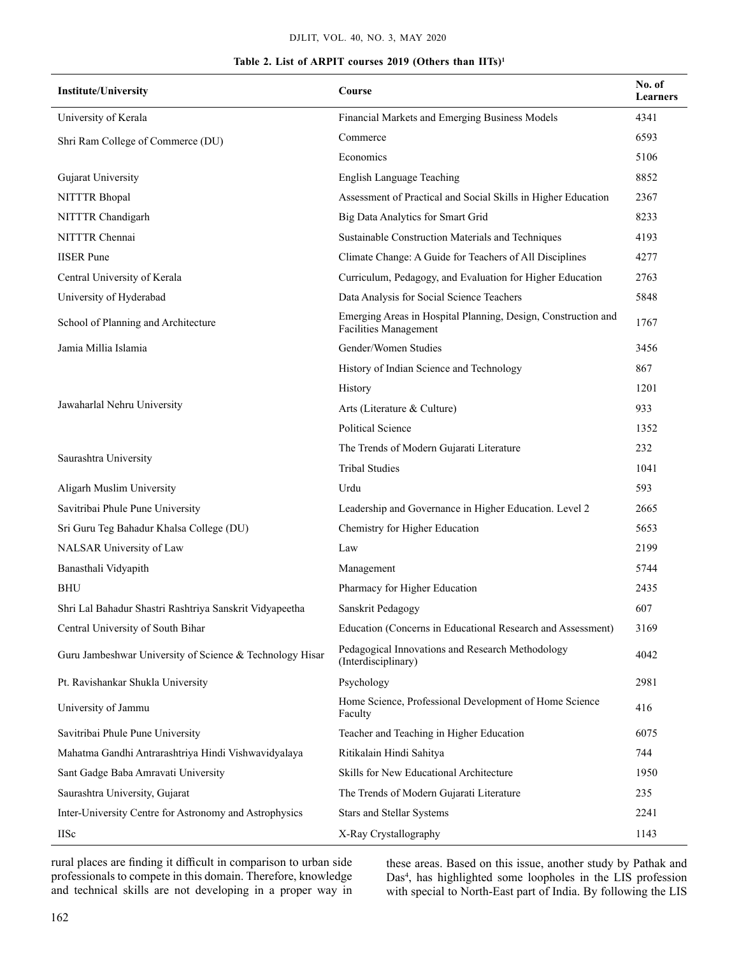#### DJLIt, Vol. 40, No. 3, May 2020

# **Table 2. List of ARPIT courses 2019 (Others than IITs)1**

| <b>Institute/University</b>                              | Course                                                                                 | No. of<br>Learners |
|----------------------------------------------------------|----------------------------------------------------------------------------------------|--------------------|
| University of Kerala                                     | Financial Markets and Emerging Business Models                                         | 4341               |
| Shri Ram College of Commerce (DU)                        | Commerce                                                                               | 6593               |
|                                                          | Economics                                                                              | 5106               |
| Gujarat University                                       | English Language Teaching                                                              | 8852               |
| NITTTR Bhopal                                            | Assessment of Practical and Social Skills in Higher Education                          | 2367               |
| NITTTR Chandigarh                                        | Big Data Analytics for Smart Grid                                                      | 8233               |
| NITTTR Chennai                                           | Sustainable Construction Materials and Techniques                                      | 4193               |
| <b>IISER</b> Pune                                        | Climate Change: A Guide for Teachers of All Disciplines                                | 4277               |
| Central University of Kerala                             | Curriculum, Pedagogy, and Evaluation for Higher Education                              | 2763               |
| University of Hyderabad                                  | Data Analysis for Social Science Teachers                                              | 5848               |
| School of Planning and Architecture                      | Emerging Areas in Hospital Planning, Design, Construction and<br>Facilities Management | 1767               |
| Jamia Millia Islamia                                     | Gender/Women Studies                                                                   | 3456               |
|                                                          | History of Indian Science and Technology                                               | 867                |
|                                                          | History                                                                                | 1201               |
| Jawaharlal Nehru University                              | Arts (Literature & Culture)                                                            | 933                |
|                                                          | <b>Political Science</b>                                                               | 1352               |
|                                                          | The Trends of Modern Gujarati Literature                                               | 232                |
| Saurashtra University                                    | <b>Tribal Studies</b>                                                                  | 1041               |
| Aligarh Muslim University                                | Urdu                                                                                   | 593                |
| Savitribai Phule Pune University                         | Leadership and Governance in Higher Education. Level 2                                 | 2665               |
| Sri Guru Teg Bahadur Khalsa College (DU)                 | Chemistry for Higher Education                                                         | 5653               |
| NALSAR University of Law                                 | Law                                                                                    | 2199               |
| Banasthali Vidyapith                                     | Management                                                                             | 5744               |
| <b>BHU</b>                                               | Pharmacy for Higher Education                                                          | 2435               |
| Shri Lal Bahadur Shastri Rashtriya Sanskrit Vidyapeetha  | Sanskrit Pedagogy                                                                      | 607                |
| Central University of South Bihar                        | Education (Concerns in Educational Research and Assessment)                            | 3169               |
| Guru Jambeshwar University of Science & Technology Hisar | Pedagogical Innovations and Research Methodology<br>(Interdisciplinary)                | 4042               |
| Pt. Ravishankar Shukla University                        | Psychology                                                                             | 2981               |
| University of Jammu                                      | Home Science, Professional Development of Home Science<br>Faculty                      | 416                |
| Savitribai Phule Pune University                         | Teacher and Teaching in Higher Education                                               | 6075               |
| Mahatma Gandhi Antrarashtriya Hindi Vishwavidyalaya      | Ritikalain Hindi Sahitya                                                               | 744                |
| Sant Gadge Baba Amravati University                      | Skills for New Educational Architecture                                                | 1950               |
| Saurashtra University, Gujarat                           | The Trends of Modern Gujarati Literature                                               | 235                |
| Inter-University Centre for Astronomy and Astrophysics   | <b>Stars and Stellar Systems</b>                                                       | 2241               |
| <b>IISc</b>                                              | X-Ray Crystallography                                                                  | 1143               |

rural places are finding it difficult in comparison to urban side professionals to compete in this domain. Therefore, knowledge and technical skills are not developing in a proper way in

these areas. Based on this issue, another study by Pathak and Das<sup>4</sup>, has highlighted some loopholes in the LIS profession with special to North-East part of India. By following the LIS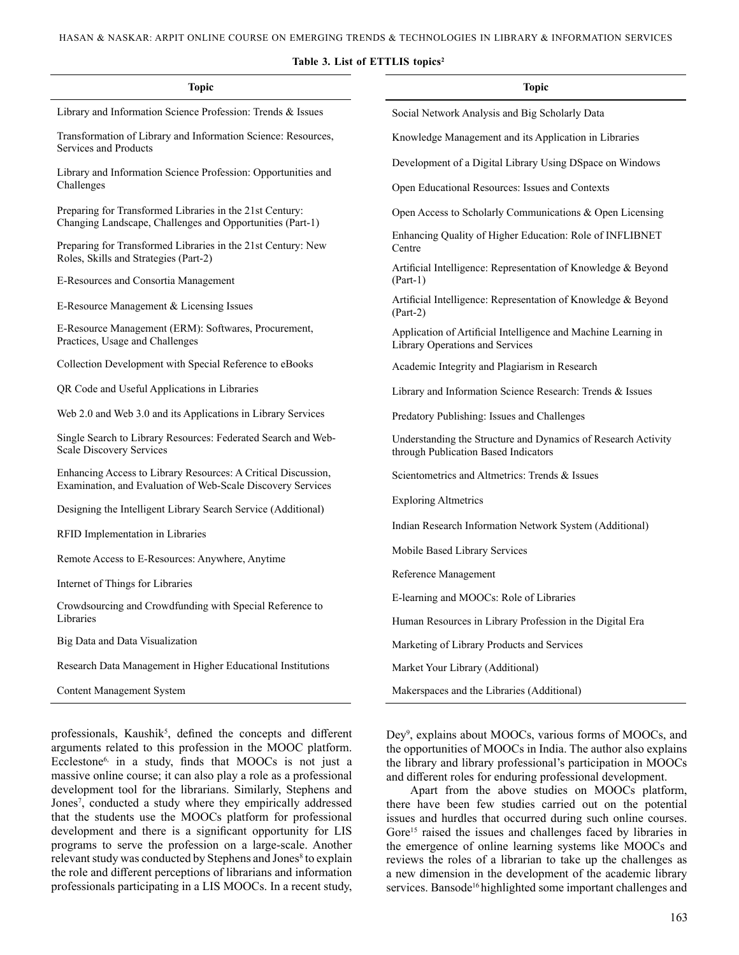#### **Table 3. List of ETTLIS topics2**

| <b>Topic</b>                                                                                                                 | <b>Topic</b>                                                                                          |  |  |  |
|------------------------------------------------------------------------------------------------------------------------------|-------------------------------------------------------------------------------------------------------|--|--|--|
| Library and Information Science Profession: Trends & Issues                                                                  | Social Network Analysis and Big Scholarly Data                                                        |  |  |  |
| Transformation of Library and Information Science: Resources,<br>Services and Products                                       | Knowledge Management and its Application in Libraries                                                 |  |  |  |
| Library and Information Science Profession: Opportunities and                                                                | Development of a Digital Library Using DSpace on Windows                                              |  |  |  |
| Challenges                                                                                                                   | Open Educational Resources: Issues and Contexts                                                       |  |  |  |
| Preparing for Transformed Libraries in the 21st Century:<br>Changing Landscape, Challenges and Opportunities (Part-1)        | Open Access to Scholarly Communications & Open Licensing                                              |  |  |  |
| Preparing for Transformed Libraries in the 21st Century: New<br>Roles, Skills and Strategies (Part-2)                        | Enhancing Quality of Higher Education: Role of INFLIBNET<br>Centre                                    |  |  |  |
| E-Resources and Consortia Management                                                                                         | Artificial Intelligence: Representation of Knowledge & Beyond<br>$(Part-1)$                           |  |  |  |
| E-Resource Management & Licensing Issues                                                                                     | Artificial Intelligence: Representation of Knowledge & Beyond<br>$(Part-2)$                           |  |  |  |
| E-Resource Management (ERM): Softwares, Procurement,<br>Practices, Usage and Challenges                                      | Application of Artificial Intelligence and Machine Learning in<br>Library Operations and Services     |  |  |  |
| Collection Development with Special Reference to eBooks                                                                      | Academic Integrity and Plagiarism in Research                                                         |  |  |  |
| QR Code and Useful Applications in Libraries                                                                                 | Library and Information Science Research: Trends & Issues                                             |  |  |  |
| Web 2.0 and Web 3.0 and its Applications in Library Services                                                                 | Predatory Publishing: Issues and Challenges                                                           |  |  |  |
| Single Search to Library Resources: Federated Search and Web-<br><b>Scale Discovery Services</b>                             | Understanding the Structure and Dynamics of Research Activity<br>through Publication Based Indicators |  |  |  |
| Enhancing Access to Library Resources: A Critical Discussion,<br>Examination, and Evaluation of Web-Scale Discovery Services | Scientometrics and Altmetrics: Trends & Issues                                                        |  |  |  |
| Designing the Intelligent Library Search Service (Additional)                                                                | <b>Exploring Altmetrics</b>                                                                           |  |  |  |
| RFID Implementation in Libraries                                                                                             | Indian Research Information Network System (Additional)                                               |  |  |  |
| Remote Access to E-Resources: Anywhere, Anytime                                                                              | Mobile Based Library Services                                                                         |  |  |  |
| Internet of Things for Libraries                                                                                             | Reference Management                                                                                  |  |  |  |
| Crowdsourcing and Crowdfunding with Special Reference to                                                                     | E-learning and MOOCs: Role of Libraries                                                               |  |  |  |
| Libraries                                                                                                                    | Human Resources in Library Profession in the Digital Era                                              |  |  |  |
| Big Data and Data Visualization                                                                                              | Marketing of Library Products and Services                                                            |  |  |  |
| Research Data Management in Higher Educational Institutions                                                                  | Market Your Library (Additional)                                                                      |  |  |  |
| <b>Content Management System</b>                                                                                             | Makerspaces and the Libraries (Additional)                                                            |  |  |  |
|                                                                                                                              |                                                                                                       |  |  |  |

professionals, Kaushik<sup>5</sup>, defined the concepts and different arguments related to this profession in the MOOC platform. Ecclestone6, in a study, finds that MOOCs is not just a massive online course; it can also play a role as a professional development tool for the librarians. Similarly, Stephens and Jones<sup>7</sup>, conducted a study where they empirically addressed that the students use the MOOCs platform for professional development and there is a significant opportunity for LIS programs to serve the profession on a large-scale. Another relevant study was conducted by Stephens and Jones<sup>8</sup> to explain the role and different perceptions of librarians and information professionals participating in a LIS MOOCs. In a recent study,

Dey<sup>9</sup>, explains about MOOCs, various forms of MOOCs, and the opportunities of MOOCs in India. The author also explains the library and library professional's participation in MOOCs and different roles for enduring professional development.

Apart from the above studies on MOOCs platform, there have been few studies carried out on the potential issues and hurdles that occurred during such online courses. Gore<sup>15</sup> raised the issues and challenges faced by libraries in the emergence of online learning systems like MOOCs and reviews the roles of a librarian to take up the challenges as a new dimension in the development of the academic library services. Bansode<sup>16</sup> highlighted some important challenges and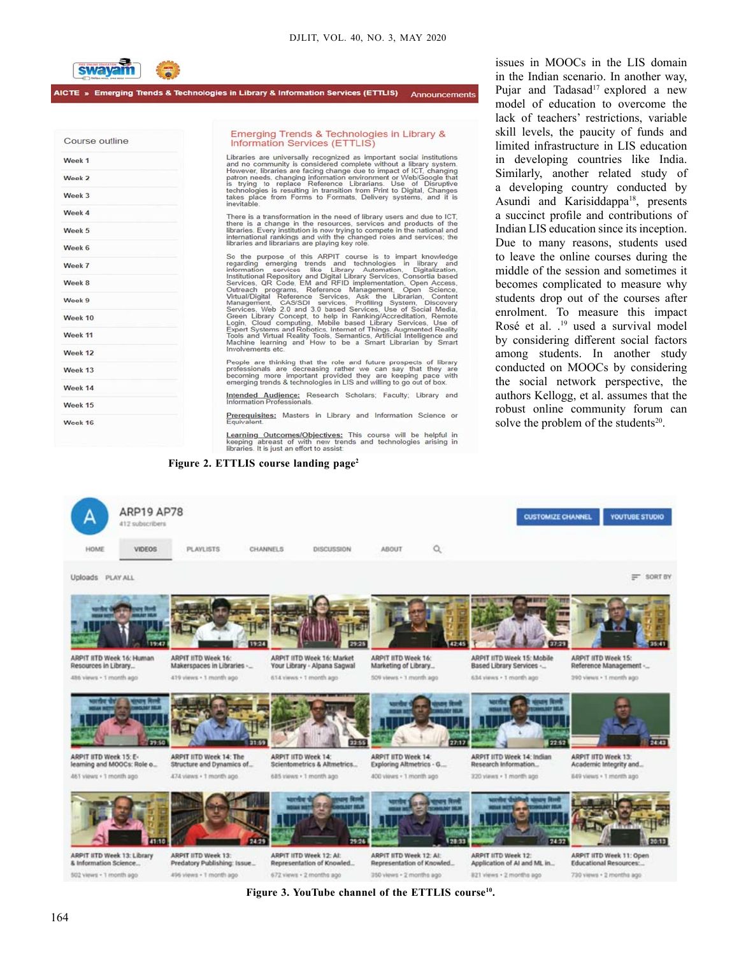**Announcements** 



AICTE » Emerging Trends & Technologies in Library & Information Services (ETTLIS)

| Course outline |  |
|----------------|--|
| Week 1         |  |
| Week 2         |  |
| Week 3         |  |
| Week 4         |  |
| Week 5         |  |
| Week 6         |  |
| Week 7         |  |
| Week 8         |  |
| Week 9         |  |
| Week 10        |  |
| Week 11        |  |
| Week 12        |  |
| Week 13        |  |
| Week 14        |  |
| Week 15        |  |
| Week 16        |  |

#### Emerging Trends & Technologies in Library & Information Services (ETTLIS)

Libraries are universally recognized as important social institutions<br>and no community is considered complete without a library system.<br>However, libraries are facing change due to impact of ICT. Changing<br>patron needs, chan

There is a transformation in the need of library users and due to ICT, there is a change in the resources, services and products of the libraries. Every institution is now trying to compete in the national and international rankings and with the changed roles and services; the international r

libraries and librarians are playing key role.<br>
So the purpose of this ARPIT course is to impart knowledge<br>
regarding emerging trends and technologies in library and<br>
regarding emerging trends and Technologies in library<br>

People are thinking that the role and future prospects of library professionals are decreasing rather we can say that they are becoming more important provided they are keeping pace with emerging trends & technologies in L

Intended Audience: Research Scholars; Faculty; Library and

Prerequisites: Masters in Library and Information Science or

Learning Outcomes/Objectives: This course will be helpful in<br>keeping abreast of with new trends and technologies arising in<br>libraries It is just an effort to assist:

#### **Figure 2. ETTLIS course landing page2**

issues in MOOCs in the LIS domain in the Indian scenario. In another way, Pujar and Tadasad<sup>17</sup> explored a new model of education to overcome the lack of teachers' restrictions, variable skill levels, the paucity of funds and limited infrastructure in LIS education in developing countries like India. Similarly, another related study of a developing country conducted by Asundi and Karisiddappa<sup>18</sup>, presents a succinct profile and contributions of Indian LIS education since its inception. Due to many reasons, students used to leave the online courses during the middle of the session and sometimes it becomes complicated to measure why students drop out of the courses after enrolment. To measure this impact Rosé et al. .<sup>19</sup> used a survival model by considering different social factors among students. In another study conducted on MOOCs by considering the social network perspective, the authors Kellogg, et al. assumes that the robust online community forum can solve the problem of the students $20$ .



**Figure 3. YouTube channel of the ETTLIS course10.**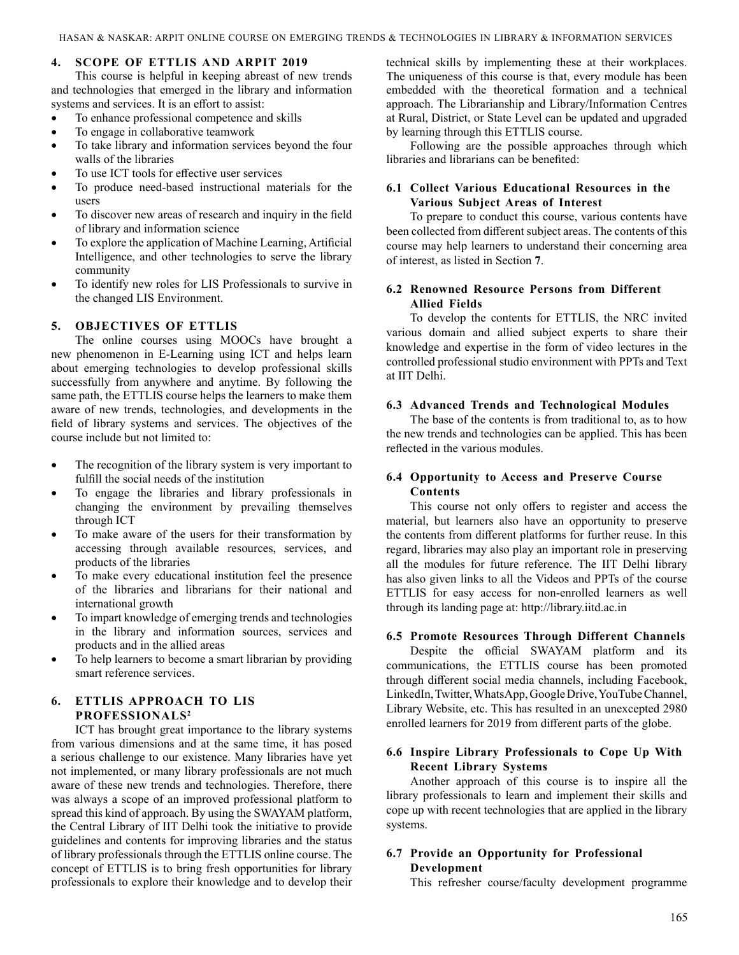# **4. SCOPE OF ETTLIS AND ARPIT 2019**

This course is helpful in keeping abreast of new trends and technologies that emerged in the library and information systems and services. It is an effort to assist:

- To enhance professional competence and skills
- To engage in collaborative teamwork
- To take library and information services beyond the four walls of the libraries
- To use ICT tools for effective user services
- To produce need-based instructional materials for the users
- To discover new areas of research and inquiry in the field of library and information science
- To explore the application of Machine Learning, Artificial Intelligence, and other technologies to serve the library community
- To identify new roles for LIS Professionals to survive in the changed LIS Environment.

# **5. OBJECTIVES OF ETTLIS**

The online courses using MOOCs have brought a new phenomenon in E-Learning using ICT and helps learn about emerging technologies to develop professional skills successfully from anywhere and anytime. By following the same path, the ETTLIS course helps the learners to make them aware of new trends, technologies, and developments in the field of library systems and services. The objectives of the course include but not limited to:

- The recognition of the library system is very important to fulfill the social needs of the institution
- To engage the libraries and library professionals in changing the environment by prevailing themselves through ICT
- To make aware of the users for their transformation by accessing through available resources, services, and products of the libraries
- To make every educational institution feel the presence of the libraries and librarians for their national and international growth
- To impart knowledge of emerging trends and technologies in the library and information sources, services and products and in the allied areas
- To help learners to become a smart librarian by providing smart reference services.

# **6. ETTLIS APPROACH TO LIS PROFESSIONALS2**

ICT has brought great importance to the library systems from various dimensions and at the same time, it has posed a serious challenge to our existence. Many libraries have yet not implemented, or many library professionals are not much aware of these new trends and technologies. Therefore, there was always a scope of an improved professional platform to spread this kind of approach. By using the SWAYAM platform, the Central Library of IIT Delhi took the initiative to provide guidelines and contents for improving libraries and the status of library professionals through the ETTLIS online course. The concept of ETTLIS is to bring fresh opportunities for library professionals to explore their knowledge and to develop their

technical skills by implementing these at their workplaces. The uniqueness of this course is that, every module has been embedded with the theoretical formation and a technical approach. The Librarianship and Library/Information Centres at Rural, District, or State Level can be updated and upgraded by learning through this ETTLIS course.

Following are the possible approaches through which libraries and librarians can be benefited:

# **6.1 Collect Various Educational Resources in the Various Subject Areas of Interest**

To prepare to conduct this course, various contents have been collected from different subject areas. The contents of this course may help learners to understand their concerning area of interest, as listed in Section **7**.

# **6.2 Renowned Resource Persons from Different Allied Fields**

To develop the contents for ETTLIS, the NRC invited various domain and allied subject experts to share their knowledge and expertise in the form of video lectures in the controlled professional studio environment with PPTs and Text at IIT Delhi.

# **6.3 Advanced Trends and Technological Modules**

The base of the contents is from traditional to, as to how the new trends and technologies can be applied. This has been reflected in the various modules.

# **6.4 Opportunity to Access and Preserve Course Contents**

This course not only offers to register and access the material, but learners also have an opportunity to preserve the contents from different platforms for further reuse. In this regard, libraries may also play an important role in preserving all the modules for future reference. The IIT Delhi library has also given links to all the Videos and PPTs of the course ETTLIS for easy access for non-enrolled learners as well through its landing page at: http://library.iitd.ac.in

# **6.5 Promote Resources Through Different Channels**

Despite the official SWAYAM platform and its communications, the ETTLIS course has been promoted through different social media channels, including Facebook, LinkedIn, Twitter, WhatsApp, Google Drive, YouTube Channel, Library Website, etc. This has resulted in an unexcepted 2980 enrolled learners for 2019 from different parts of the globe.

# **6.6 Inspire Library Professionals to Cope Up With Recent Library Systems**

Another approach of this course is to inspire all the library professionals to learn and implement their skills and cope up with recent technologies that are applied in the library systems.

# **6.7 Provide an Opportunity for Professional Development**

This refresher course/faculty development programme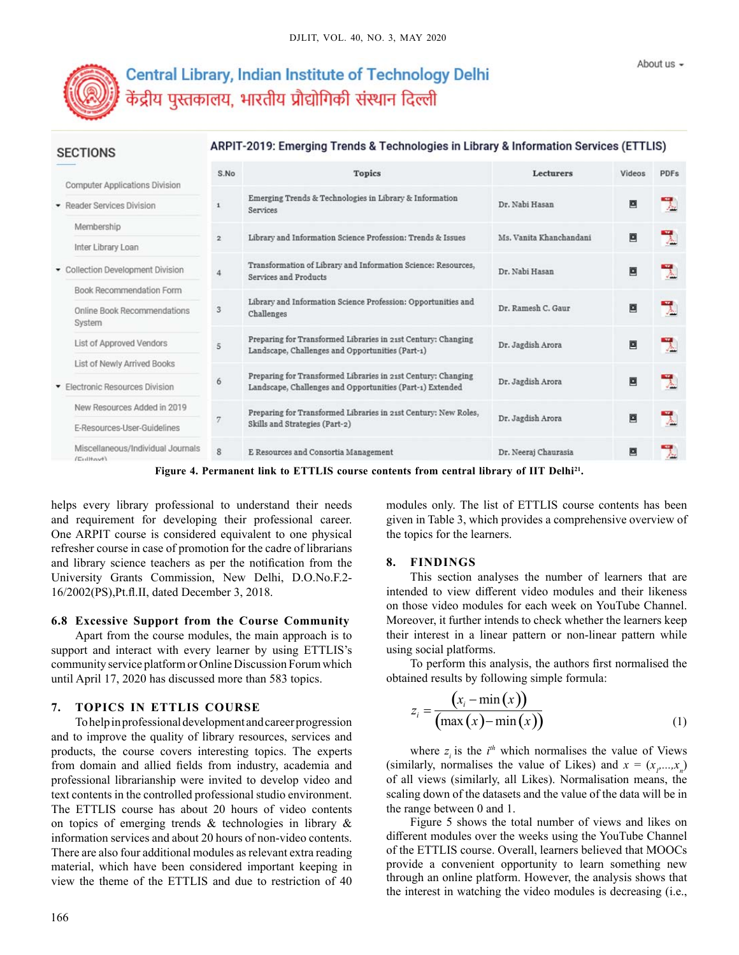

**SECTIONS** 

# Central Library, Indian Institute of Technology Delhi केंद्रीय पुस्तकालय, भारतीय प्रौद्योगिकी संस्थान दिल्ली

# ARPIT-2019: Emerging Trends & Technologies in Library & Information Services (ETTLIS)

| <b>Computer Applications Division</b>                 | S.No           | <b>Topics</b>                                                                                                              | <b>Lecturers</b>        | Videos | <b>PDFs</b> |
|-------------------------------------------------------|----------------|----------------------------------------------------------------------------------------------------------------------------|-------------------------|--------|-------------|
| • Reader Services Division                            | $\mathbf{1}$   | Emerging Trends & Technologies in Library & Information<br>Services                                                        | Dr. Nabi Hasan          | 四      | 人           |
| Membership                                            |                | Library and Information Science Profession: Trends & Issues                                                                | Ms. Vanita Khanchandani |        |             |
| Inter Library Loan                                    | $\overline{2}$ |                                                                                                                            |                         | ▣      | L           |
| • Collection Development Division                     |                | Transformation of Library and Information Science: Resources,<br>Services and Products                                     | Dr. Nabi Hasan          | ▣      | ٦           |
| <b>Book Recommendation Form</b>                       |                |                                                                                                                            |                         |        |             |
| Online Book Recommendations<br>System                 | 3              | Library and Information Science Profession: Opportunities and<br>Challenges                                                | Dr. Ramesh C. Gaur      | ø      |             |
| List of Approved Vendors                              | 5              | Preparing for Transformed Libraries in 21st Century: Changing<br>Landscape, Challenges and Opportunities (Part-1)          | Dr. Jagdish Arora       | ⊡      | 【人          |
| List of Newly Arrived Books                           |                |                                                                                                                            |                         |        |             |
| Electronic Resources Division                         | 6              | Preparing for Transformed Libraries in 21st Century: Changing<br>Landscape, Challenges and Opportunities (Part-1) Extended | Dr. Jagdish Arora       | ⊡      | 뭿           |
| New Resources Added in 2019                           |                | Preparing for Transformed Libraries in 21st Century: New Roles,<br>Skills and Strategies (Part-2)                          | Dr. Jagdish Arora       |        | ٦           |
| E-Resources-User-Guidelines                           | 7              |                                                                                                                            |                         | 國      |             |
| Miscellaneous/Individual Journals<br>$ T_{\text{H}} $ | 8              | E Resources and Consortia Management                                                                                       | Dr. Neeraj Chaurasia    | ⊡      |             |

Figure 4. Permanent link to ETTLIS course contents from central library of IIT Delhi<sup>21</sup>.

helps every library professional to understand their needs and requirement for developing their professional career. One ARPIT course is considered equivalent to one physical refresher course in case of promotion for the cadre of librarians and library science teachers as per the notification from the University Grants Commission, New Delhi, D.O.No.F.2- 16/2002(PS),Pt.fl.II, dated December 3, 2018.

#### **6.8 Excessive Support from the Course Community**

Apart from the course modules, the main approach is to support and interact with every learner by using ETTLIS's community service platform or Online Discussion Forum which until April 17, 2020 has discussed more than 583 topics.

#### **7. TOPICS IN ETTLIS COURSE**

To help in professional development and career progression and to improve the quality of library resources, services and products, the course covers interesting topics. The experts from domain and allied fields from industry, academia and professional librarianship were invited to develop video and text contents in the controlled professional studio environment. The ETTLIS course has about 20 hours of video contents on topics of emerging trends & technologies in library & information services and about 20 hours of non-video contents. There are also four additional modules as relevant extra reading material, which have been considered important keeping in view the theme of the ETTLIS and due to restriction of 40 modules only. The list of ETTLIS course contents has been given in Table 3, which provides a comprehensive overview of the topics for the learners.

#### **8. FINDINGS**

This section analyses the number of learners that are intended to view different video modules and their likeness on those video modules for each week on YouTube Channel. Moreover, it further intends to check whether the learners keep their interest in a linear pattern or non-linear pattern while using social platforms.

To perform this analysis, the authors first normalised the obtained results by following simple formula:

$$
z_i = \frac{(x_i - \min(x))}{(\max(x) - \min(x))}
$$
(1)

where  $z_i$  is the  $i^{th}$  which normalises the value of Views (similarly, normalises the value of Likes) and  $x = (x_1, \ldots, x_n)$ of all views (similarly, all Likes). Normalisation means, the scaling down of the datasets and the value of the data will be in the range between 0 and 1.

Figure 5 shows the total number of views and likes on different modules over the weeks using the YouTube Channel of the ETTLIS course. Overall, learners believed that MOOCs provide a convenient opportunity to learn something new through an online platform. However, the analysis shows that the interest in watching the video modules is decreasing (i.e.,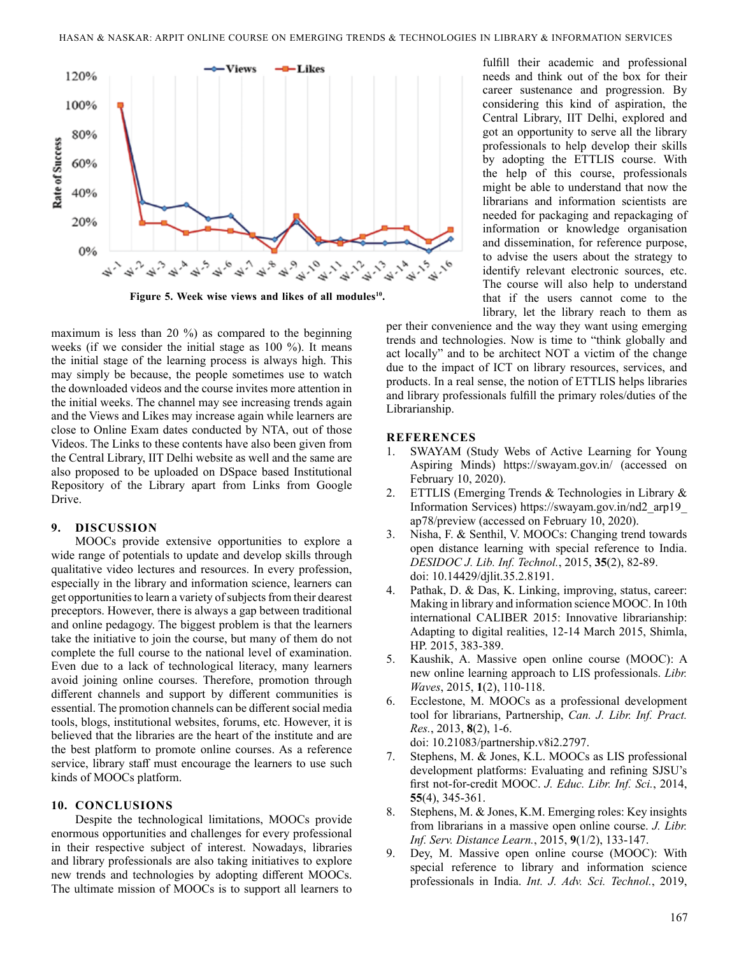

Figure 5. Week wise views and likes of all modules<sup>10</sup>.

maximum is less than 20 %) as compared to the beginning weeks (if we consider the initial stage as 100 %). It means the initial stage of the learning process is always high. This may simply be because, the people sometimes use to watch the downloaded videos and the course invites more attention in the initial weeks. The channel may see increasing trends again and the Views and Likes may increase again while learners are close to Online Exam dates conducted by NTA, out of those Videos. The Links to these contents have also been given from the Central Library, IIT Delhi website as well and the same are also proposed to be uploaded on DSpace based Institutional Repository of the Library apart from Links from Google Drive.

#### **9. DISCUSSION**

MOOCs provide extensive opportunities to explore a wide range of potentials to update and develop skills through qualitative video lectures and resources. In every profession, especially in the library and information science, learners can get opportunities to learn a variety of subjects from their dearest preceptors. However, there is always a gap between traditional and online pedagogy. The biggest problem is that the learners take the initiative to join the course, but many of them do not complete the full course to the national level of examination. Even due to a lack of technological literacy, many learners avoid joining online courses. Therefore, promotion through different channels and support by different communities is essential. The promotion channels can be different social media tools, blogs, institutional websites, forums, etc. However, it is believed that the libraries are the heart of the institute and are the best platform to promote online courses. As a reference service, library staff must encourage the learners to use such kinds of MOOCs platform.

#### **10. CONCLUSIONS**

Despite the technological limitations, MOOCs provide enormous opportunities and challenges for every professional in their respective subject of interest. Nowadays, libraries and library professionals are also taking initiatives to explore new trends and technologies by adopting different MOOCs. The ultimate mission of MOOCs is to support all learners to

fulfill their academic and professional needs and think out of the box for their career sustenance and progression. By considering this kind of aspiration, the Central Library, IIT Delhi, explored and got an opportunity to serve all the library professionals to help develop their skills by adopting the ETTLIS course. With the help of this course, professionals might be able to understand that now the librarians and information scientists are needed for packaging and repackaging of information or knowledge organisation and dissemination, for reference purpose, to advise the users about the strategy to identify relevant electronic sources, etc. The course will also help to understand that if the users cannot come to the library, let the library reach to them as

per their convenience and the way they want using emerging trends and technologies. Now is time to "think globally and act locally" and to be architect NOT a victim of the change due to the impact of ICT on library resources, services, and products. In a real sense, the notion of ETTLIS helps libraries and library professionals fulfill the primary roles/duties of the Librarianship.

## **REFERENCES**

- 1. SWAYAM (Study Webs of Active Learning for Young Aspiring Minds) https://swayam.gov.in/ (accessed on February 10, 2020).
- 2. ETTLIS (Emerging Trends & Technologies in Library & Information Services) https://swayam.gov.in/nd2\_arp19\_ ap78/preview (accessed on February 10, 2020).
- 3. Nisha, F. & Senthil, V. MOOCs: Changing trend towards open distance learning with special reference to India. *DESIDOC J. Lib. Inf. Technol.*, 2015, **35**(2), 82-89. doi: 10.14429/djlit.35.2.8191.
- 4. Pathak, D. & Das, K. Linking, improving, status, career: Making in library and information science MOOC. In 10th international CALIBER 2015: Innovative librarianship: Adapting to digital realities, 12-14 March 2015, Shimla, HP. 2015, 383-389.
- 5. Kaushik, A. Massive open online course (MOOC): A new online learning approach to LIS professionals. *Libr. Waves*, 2015, **1**(2), 110-118.
- 6. Ecclestone, M. MOOCs as a professional development tool for librarians, Partnership, *Can. J. Libr. Inf. Pract. Res.*, 2013, **8**(2), 1-6. doi: 10.21083/partnership.v8i2.2797.
- 7. Stephens, M. & Jones, K.L. MOOCs as LIS professional development platforms: Evaluating and refining SJSU's first not-for-credit MOOC. *J. Educ. Libr. Inf. Sci.*, 2014, **55**(4), 345-361.
- 8. Stephens, M. & Jones, K.M. Emerging roles: Key insights from librarians in a massive open online course. *J. Libr. Inf. Serv. Distance Learn.*, 2015, **9**(1/2), 133-147.
- 9. Dey, M. Massive open online course (MOOC): With special reference to library and information science professionals in India. *Int. J. Adv. Sci. Technol.*, 2019,